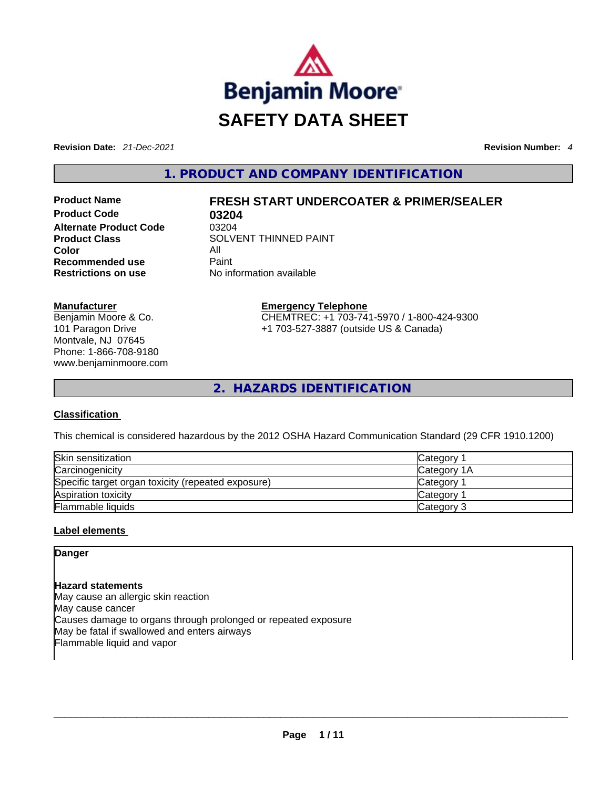

**Revision Date:** *21-Dec-2021* **Revision Number:** *4*

**1. PRODUCT AND COMPANY IDENTIFICATION** 

**Product Code 03204 Alternate Product Code** 03204 **Color** All **Recommended use Paint Restrictions on use** No information available

# **Product Name FRESH START UNDERCOATER & PRIMER/SEALER**

**Product Class SOLVENT THINNED PAINT** 

**Manufacturer**

Benjamin Moore & Co. 101 Paragon Drive Montvale, NJ 07645 Phone: 1-866-708-9180 www.benjaminmoore.com **Emergency Telephone** CHEMTREC: +1 703-741-5970 / 1-800-424-9300 +1 703-527-3887 (outside US & Canada)

**2. HAZARDS IDENTIFICATION** 

## **Classification**

This chemical is considered hazardous by the 2012 OSHA Hazard Communication Standard (29 CFR 1910.1200)

| Skin sensitization                                 | Category 1            |
|----------------------------------------------------|-----------------------|
| Carcinogenicity                                    | Category 1A           |
| Specific target organ toxicity (repeated exposure) | Category <sup>2</sup> |
| Aspiration toxicity                                | Category              |
| <b>Flammable liquids</b>                           | Category 3            |

## **Label elements**

**Danger** 

#### **Hazard statements**

May cause an allergic skin reaction May cause cancer Causes damage to organs through prolonged or repeated exposure May be fatal if swallowed and enters airways Flammable liquid and vapor \_\_\_\_\_\_\_\_\_\_\_\_\_\_\_\_\_\_\_\_\_\_\_\_\_\_\_\_\_\_\_\_\_\_\_\_\_\_\_\_\_\_\_\_\_\_\_\_\_\_\_\_\_\_\_\_\_\_\_\_\_\_\_\_\_\_\_\_\_\_\_\_\_\_\_\_\_\_\_\_\_\_\_\_\_\_\_\_\_\_\_\_\_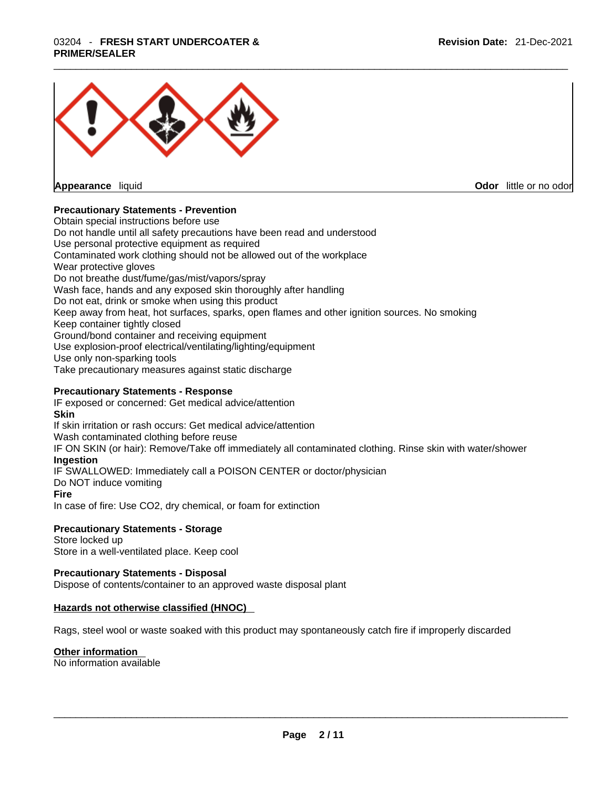# \_\_\_\_\_\_\_\_\_\_\_\_\_\_\_\_\_\_\_\_\_\_\_\_\_\_\_\_\_\_\_\_\_\_\_\_\_\_\_\_\_\_\_\_\_\_\_\_\_\_\_\_\_\_\_\_\_\_\_\_\_\_\_\_\_\_\_\_\_\_\_\_\_\_\_\_\_\_\_\_\_\_\_\_\_\_\_\_\_\_\_\_\_ 03204 - **FRESH START UNDERCOATER & PRIMER/SEALER**



**Appearance** liquid

**Odor** little or no odor

## **Precautionary Statements - Prevention**

Obtain special instructions before use Do not handle until all safety precautions have been read and understood Use personal protective equipment as required Contaminated work clothing should not be allowed out of the workplace Wear protective gloves Do not breathe dust/fume/gas/mist/vapors/spray Wash face, hands and any exposed skin thoroughly after handling Do not eat, drink or smoke when using this product Keep away from heat, hot surfaces, sparks, open flames and other ignition sources. No smoking Keep container tightly closed Ground/bond container and receiving equipment Use explosion-proof electrical/ventilating/lighting/equipment Use only non-sparking tools Take precautionary measures against static discharge

#### **Precautionary Statements - Response**

IF exposed or concerned: Get medical advice/attention **Skin** If skin irritation or rash occurs: Get medical advice/attention Wash contaminated clothing before reuse IF ON SKIN (or hair): Remove/Take off immediately all contaminated clothing. Rinse skin with water/shower **Ingestion** IF SWALLOWED: Immediately call a POISON CENTER or doctor/physician Do NOT induce vomiting

#### **Fire**

In case of fire: Use CO2, dry chemical, or foam for extinction

#### **Precautionary Statements - Storage**

Store locked up Store in a well-ventilated place. Keep cool

#### **Precautionary Statements - Disposal**

Dispose of contents/container to an approved waste disposal plant

## **Hazards not otherwise classified (HNOC)**

Rags, steel wool or waste soaked with this product may spontaneously catch fire if improperly discarded

#### **Other information**

No information available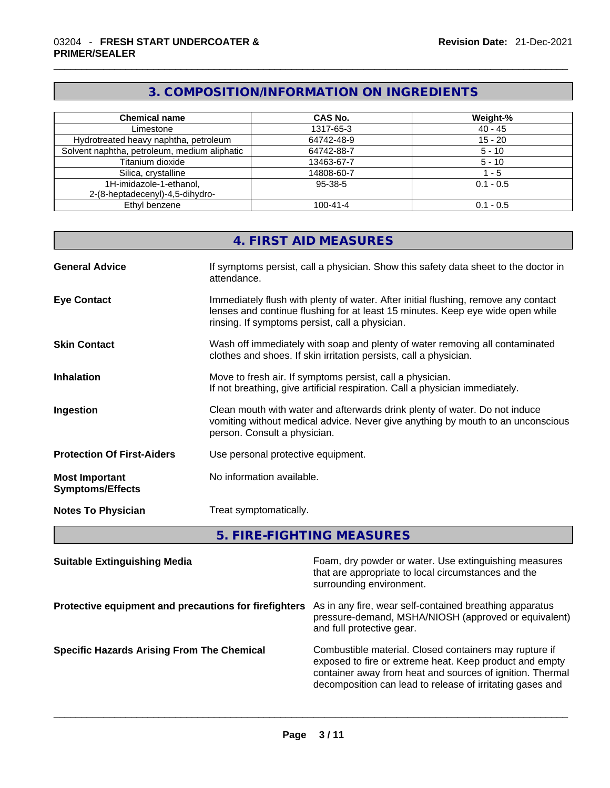# **3. COMPOSITION/INFORMATION ON INGREDIENTS**

| <b>Chemical name</b>                         | <b>CAS No.</b> | Weight-%        |
|----------------------------------------------|----------------|-----------------|
| Limestone                                    | 1317-65-3      | $40 - 45$       |
| Hydrotreated heavy naphtha, petroleum        | 64742-48-9     | $15 - 20$       |
| Solvent naphtha, petroleum, medium aliphatic | 64742-88-7     | $5 - 10$        |
| Titanium dioxide                             | 13463-67-7     | $5 - 10$        |
| Silica, crystalline                          | 14808-60-7     | $^{\prime}$ - 5 |
| 1H-imidazole-1-ethanol,                      | 95-38-5        | $0.1 - 0.5$     |
| 2-(8-heptadecenyl)-4,5-dihydro-              |                |                 |
| Ethyl benzene                                | $100 - 41 - 4$ | $0.1 - 0.5$     |

| 4. FIRST AID MEASURES |  |
|-----------------------|--|
|                       |  |

| <b>General Advice</b>                            | If symptoms persist, call a physician. Show this safety data sheet to the doctor in<br>attendance.                                                                                                                      |
|--------------------------------------------------|-------------------------------------------------------------------------------------------------------------------------------------------------------------------------------------------------------------------------|
| <b>Eye Contact</b>                               | Immediately flush with plenty of water. After initial flushing, remove any contact<br>lenses and continue flushing for at least 15 minutes. Keep eye wide open while<br>rinsing. If symptoms persist, call a physician. |
| <b>Skin Contact</b>                              | Wash off immediately with soap and plenty of water removing all contaminated<br>clothes and shoes. If skin irritation persists, call a physician.                                                                       |
| <b>Inhalation</b>                                | Move to fresh air. If symptoms persist, call a physician.<br>If not breathing, give artificial respiration. Call a physician immediately.                                                                               |
| Ingestion                                        | Clean mouth with water and afterwards drink plenty of water. Do not induce<br>vomiting without medical advice. Never give anything by mouth to an unconscious<br>person. Consult a physician.                           |
| <b>Protection Of First-Aiders</b>                | Use personal protective equipment.                                                                                                                                                                                      |
| <b>Most Important</b><br><b>Symptoms/Effects</b> | No information available.                                                                                                                                                                                               |
| <b>Notes To Physician</b>                        | Treat symptomatically.                                                                                                                                                                                                  |

**5. FIRE-FIGHTING MEASURES** 

| <b>Suitable Extinguishing Media</b>                   | Foam, dry powder or water. Use extinguishing measures<br>that are appropriate to local circumstances and the<br>surrounding environment.                                                                                                    |
|-------------------------------------------------------|---------------------------------------------------------------------------------------------------------------------------------------------------------------------------------------------------------------------------------------------|
| Protective equipment and precautions for firefighters | As in any fire, wear self-contained breathing apparatus<br>pressure-demand, MSHA/NIOSH (approved or equivalent)<br>and full protective gear.                                                                                                |
| <b>Specific Hazards Arising From The Chemical</b>     | Combustible material. Closed containers may rupture if<br>exposed to fire or extreme heat. Keep product and empty<br>container away from heat and sources of ignition. Thermal<br>decomposition can lead to release of irritating gases and |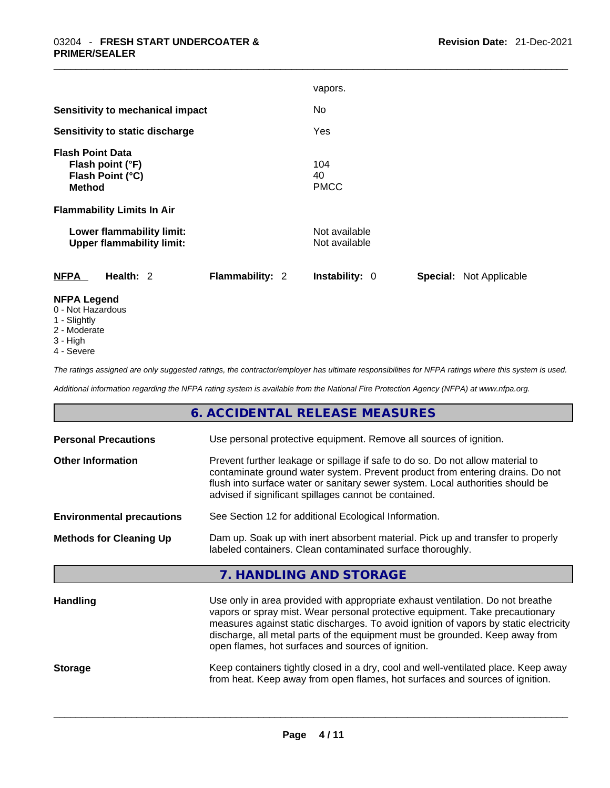|                                                                                  | vapors.                                                 |
|----------------------------------------------------------------------------------|---------------------------------------------------------|
| <b>Sensitivity to mechanical impact</b>                                          | No.                                                     |
| Sensitivity to static discharge                                                  | Yes                                                     |
| <b>Flash Point Data</b><br>Flash point (°F)<br>Flash Point (°C)<br><b>Method</b> | 104<br>40<br><b>PMCC</b>                                |
| <b>Flammability Limits In Air</b>                                                |                                                         |
| Lower flammability limit:<br><b>Upper flammability limit:</b>                    | Not available<br>Not available                          |
| <b>NFPA</b><br>Health: $2$<br><b>Flammability: 2</b>                             | <b>Instability: 0</b><br><b>Special: Not Applicable</b> |
| <b>NFPA Legend</b>                                                               |                                                         |

- 0 Not Hazardous
- 1 Slightly
- 2 Moderate
- 3 High
- 4 Severe

*The ratings assigned are only suggested ratings, the contractor/employer has ultimate responsibilities for NFPA ratings where this system is used.* 

*Additional information regarding the NFPA rating system is available from the National Fire Protection Agency (NFPA) at www.nfpa.org.* 

## **6. ACCIDENTAL RELEASE MEASURES**

| <b>Personal Precautions</b>      | Use personal protective equipment. Remove all sources of ignition.                                                                                                                                                                                                                                                                                                                            |
|----------------------------------|-----------------------------------------------------------------------------------------------------------------------------------------------------------------------------------------------------------------------------------------------------------------------------------------------------------------------------------------------------------------------------------------------|
| <b>Other Information</b>         | Prevent further leakage or spillage if safe to do so. Do not allow material to<br>contaminate ground water system. Prevent product from entering drains. Do not<br>flush into surface water or sanitary sewer system. Local authorities should be<br>advised if significant spillages cannot be contained.                                                                                    |
| <b>Environmental precautions</b> | See Section 12 for additional Ecological Information.                                                                                                                                                                                                                                                                                                                                         |
| <b>Methods for Cleaning Up</b>   | Dam up. Soak up with inert absorbent material. Pick up and transfer to properly<br>labeled containers. Clean contaminated surface thoroughly.                                                                                                                                                                                                                                                 |
|                                  | 7. HANDLING AND STORAGE                                                                                                                                                                                                                                                                                                                                                                       |
| <b>Handling</b>                  | Use only in area provided with appropriate exhaust ventilation. Do not breathe<br>vapors or spray mist. Wear personal protective equipment. Take precautionary<br>measures against static discharges. To avoid ignition of vapors by static electricity<br>discharge, all metal parts of the equipment must be grounded. Keep away from<br>open flames, hot surfaces and sources of ignition. |
| <b>Storage</b>                   | Keep containers tightly closed in a dry, cool and well-ventilated place. Keep away<br>from heat. Keep away from open flames, hot surfaces and sources of ignition.                                                                                                                                                                                                                            |
|                                  |                                                                                                                                                                                                                                                                                                                                                                                               |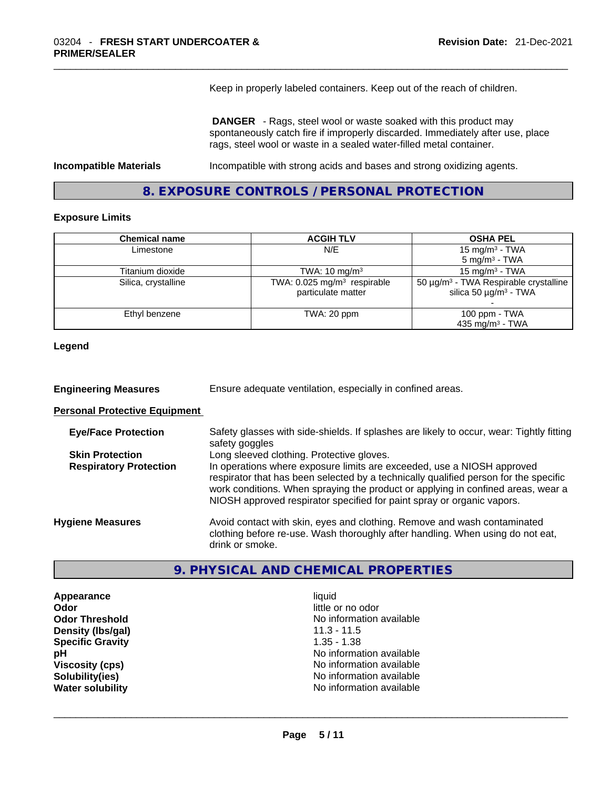Keep in properly labeled containers. Keep out of the reach of children.

 **DANGER** - Rags, steel wool or waste soaked with this product may spontaneously catch fire if improperly discarded. Immediately after use, place rags, steel wool or waste in a sealed water-filled metal container.

**Incompatible Materials** Incompatible with strong acids and bases and strong oxidizing agents.

## **8. EXPOSURE CONTROLS / PERSONAL PROTECTION**

#### **Exposure Limits**

| <b>Chemical name</b> | <b>ACGIH TLV</b>                                                | <b>OSHA PEL</b>                                                                                  |
|----------------------|-----------------------------------------------------------------|--------------------------------------------------------------------------------------------------|
| Limestone            | N/E                                                             | 15 mg/m <sup>3</sup> - TWA                                                                       |
|                      |                                                                 | $5 \text{ mg/m}^3$ - TWA                                                                         |
| Titanium dioxide     | TWA: $10 \text{ mg/m}^3$                                        | 15 mg/m <sup>3</sup> - TWA                                                                       |
| Silica, crystalline  | TWA: $0.025$ mg/m <sup>3</sup> respirable<br>particulate matter | 50 $\mu$ g/m <sup>3</sup> - TWA Respirable crystalline<br>silica 50 $\mu$ g/m <sup>3</sup> - TWA |
| Ethyl benzene        | TWA: 20 ppm                                                     | 100 ppm $-$ TWA<br>435 mg/m <sup>3</sup> - TWA                                                   |

#### **Legend**

**Engineering Measures** Ensure adequate ventilation, especially in confined areas.

### **Personal Protective Equipment**

| <b>Eye/Face Protection</b>    | Safety glasses with side-shields. If splashes are likely to occur, wear: Tightly fitting<br>safety goggles                                                                                                                                                                                                                   |
|-------------------------------|------------------------------------------------------------------------------------------------------------------------------------------------------------------------------------------------------------------------------------------------------------------------------------------------------------------------------|
| <b>Skin Protection</b>        | Long sleeved clothing. Protective gloves.                                                                                                                                                                                                                                                                                    |
| <b>Respiratory Protection</b> | In operations where exposure limits are exceeded, use a NIOSH approved<br>respirator that has been selected by a technically qualified person for the specific<br>work conditions. When spraying the product or applying in confined areas, wear a<br>NIOSH approved respirator specified for paint spray or organic vapors. |
| <b>Hygiene Measures</b>       | Avoid contact with skin, eyes and clothing. Remove and wash contaminated<br>clothing before re-use. Wash thoroughly after handling. When using do not eat,<br>drink or smoke.                                                                                                                                                |

## **9. PHYSICAL AND CHEMICAL PROPERTIES**

**Appearance** liquid<br> **Appearance liquid**<br> **Odor Density (Ibs/gal)** 11.3 - 11.5<br> **Specific Gravity** 1.35 - 1.38 **Specific Gravity** 

little or no odor **Odor Threshold**<br> **Density (Ibs/aal)**<br> **Density (Ibs/aal)**<br> **Density (Ibs/aal)**<br> **Density (Ibs/aal) pH pH No** information available **Viscosity (cps)** <br> **Viscosity (cps)** <br> **Solubility(ies)** <br> **No** information available **Solubility(ies)** No information available **Water solubility Water Solubility And Construction available** No information available and the solution of the solution of the solution of the solution of the solution of the solution of the solution of the solution of th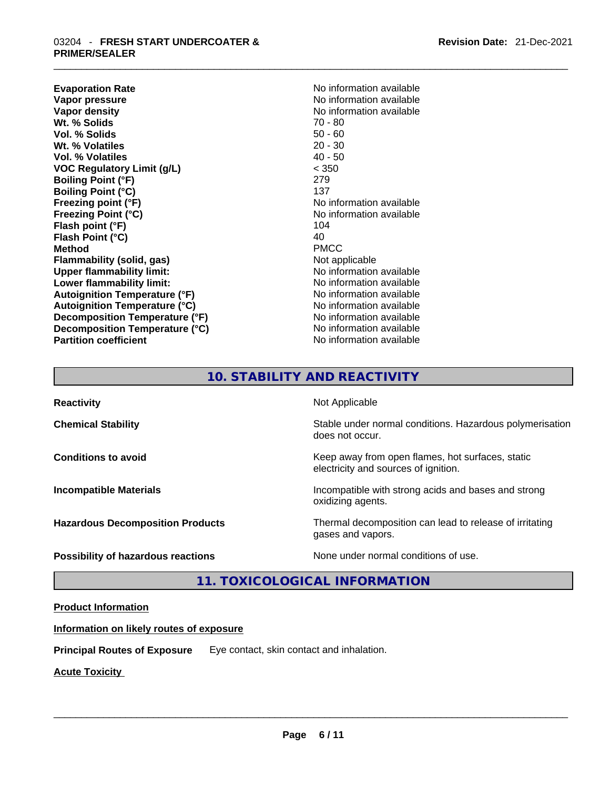# \_\_\_\_\_\_\_\_\_\_\_\_\_\_\_\_\_\_\_\_\_\_\_\_\_\_\_\_\_\_\_\_\_\_\_\_\_\_\_\_\_\_\_\_\_\_\_\_\_\_\_\_\_\_\_\_\_\_\_\_\_\_\_\_\_\_\_\_\_\_\_\_\_\_\_\_\_\_\_\_\_\_\_\_\_\_\_\_\_\_\_\_\_ 03204 - **FRESH START UNDERCOATER & PRIMER/SEALER**

**Evaporation Rate No information available No information available Vapor pressure**  No information available **Vapor density No information available No** information available **Wt. % Solids** 70 - 80 **Vol. % Solids** 50 - 60 **Wt. % Volatiles** 20 - 30 **Vol. % Volatiles** 40 - 50 **VOC Regulatory Limit (g/L)** < 350 **Boiling Point (°F)** 279 **Boiling Point (°C)** 137 **Freezing point (°F)**<br> **Freezing Point (°C)**<br> **Freezing Point (°C)**<br> **No information available Flash point (°F)** 104 **Flash Point (°C)** 40 **Method** PMCC **Flammability (solid, gas)** Not applicable **Upper flammability limit:** No information available **Lower flammability limit:** No information available **Lower** flammability limit: **Autoignition Temperature (°F)** No information available **Autoignition Temperature (°C)** No information available **Decomposition Temperature (°F)** No information available **Decomposition Temperature (°C)** No information available **Partition coefficient Contract Contract Contract Contract Contract Contract Contract Contract Contract Contract Contract Contract Contract Contract Contract Contract Contract Contract Contract Contract Contract Contract** 

**Freezing Point (°C)** No information available

## **10. STABILITY AND REACTIVITY**

**Reactivity Not Applicable Not Applicable Chemical Stability Stability** Stable under normal conditions. Hazardous polymerisation does not occur. **Conditions to avoid Keep away from open flames, hot surfaces, static Conditions to avoid Keep away from open flames**, hot surfaces, static electricity and sources of ignition. **Incompatible Materials Incompatible with strong acids and bases and strong** oxidizing agents. **Hazardous Decomposition Products** Thermal decomposition can lead to release of irritating gases and vapors. **Possibility of hazardous reactions** None under normal conditions of use.

## **11. TOXICOLOGICAL INFORMATION**

## **Product Information**

## **Information on likely routes of exposure**

**Principal Routes of Exposure** Eye contact, skin contact and inhalation.

**Acute Toxicity**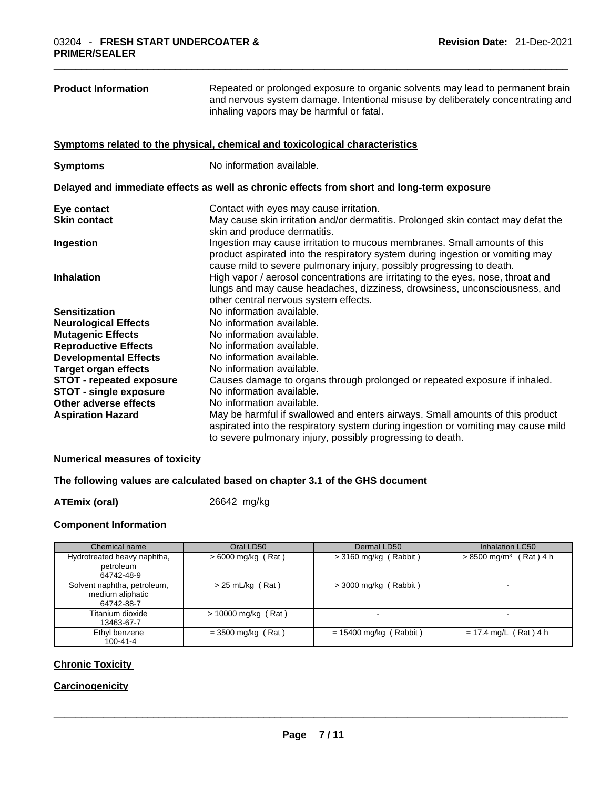| <b>Product Information</b><br>Repeated or prolonged exposure to organic solvents may lead to permanent brain<br>and nervous system damage. Intentional misuse by deliberately concentrating and<br>inhaling vapors may be harmful or fatal. |                                                                                                                                                                                                                                      |
|---------------------------------------------------------------------------------------------------------------------------------------------------------------------------------------------------------------------------------------------|--------------------------------------------------------------------------------------------------------------------------------------------------------------------------------------------------------------------------------------|
|                                                                                                                                                                                                                                             | Symptoms related to the physical, chemical and toxicological characteristics                                                                                                                                                         |
| <b>Symptoms</b>                                                                                                                                                                                                                             | No information available.                                                                                                                                                                                                            |
|                                                                                                                                                                                                                                             | Delayed and immediate effects as well as chronic effects from short and long-term exposure                                                                                                                                           |
| Eye contact                                                                                                                                                                                                                                 | Contact with eyes may cause irritation.                                                                                                                                                                                              |
| <b>Skin contact</b>                                                                                                                                                                                                                         | May cause skin irritation and/or dermatitis. Prolonged skin contact may defat the                                                                                                                                                    |
|                                                                                                                                                                                                                                             | skin and produce dermatitis.                                                                                                                                                                                                         |
| Ingestion                                                                                                                                                                                                                                   | Ingestion may cause irritation to mucous membranes. Small amounts of this<br>product aspirated into the respiratory system during ingestion or vomiting may<br>cause mild to severe pulmonary injury, possibly progressing to death. |
| <b>Inhalation</b>                                                                                                                                                                                                                           | High vapor / aerosol concentrations are irritating to the eyes, nose, throat and<br>lungs and may cause headaches, dizziness, drowsiness, unconsciousness, and<br>other central nervous system effects.                              |
| <b>Sensitization</b>                                                                                                                                                                                                                        | No information available.                                                                                                                                                                                                            |
| <b>Neurological Effects</b>                                                                                                                                                                                                                 | No information available.                                                                                                                                                                                                            |
| <b>Mutagenic Effects</b>                                                                                                                                                                                                                    | No information available.                                                                                                                                                                                                            |
| <b>Reproductive Effects</b>                                                                                                                                                                                                                 | No information available.                                                                                                                                                                                                            |
| <b>Developmental Effects</b>                                                                                                                                                                                                                | No information available.                                                                                                                                                                                                            |
| <b>Target organ effects</b>                                                                                                                                                                                                                 | No information available.                                                                                                                                                                                                            |
| <b>STOT - repeated exposure</b>                                                                                                                                                                                                             | Causes damage to organs through prolonged or repeated exposure if inhaled.                                                                                                                                                           |
| <b>STOT - single exposure</b>                                                                                                                                                                                                               | No information available.                                                                                                                                                                                                            |
| Other adverse effects                                                                                                                                                                                                                       | No information available.                                                                                                                                                                                                            |
| <b>Aspiration Hazard</b>                                                                                                                                                                                                                    | May be harmful if swallowed and enters airways. Small amounts of this product<br>aspirated into the respiratory system during ingestion or vomiting may cause mild<br>to severe pulmonary injury, possibly progressing to death.     |

## **Numerical measures of toxicity**

## **The following values are calculated based on chapter 3.1 of the GHS document**

**ATEmix (oral)** 26642 mg/kg

### **Component Information**

| Chemical name                                                 | Oral LD50             | Dermal LD50              | Inhalation LC50                      |
|---------------------------------------------------------------|-----------------------|--------------------------|--------------------------------------|
| Hydrotreated heavy naphtha,<br>petroleum<br>64742-48-9        | $>6000$ mg/kg (Rat)   | $>$ 3160 mg/kg (Rabbit)  | $> 8500$ mg/m <sup>3</sup> (Rat) 4 h |
| Solvent naphtha, petroleum,<br>medium aliphatic<br>64742-88-7 | $> 25$ mL/kg (Rat)    | $>$ 3000 mg/kg (Rabbit)  |                                      |
| Titanium dioxide<br>13463-67-7                                | $> 10000$ mg/kg (Rat) |                          | -                                    |
| Ethyl benzene<br>$100 - 41 - 4$                               | $=$ 3500 mg/kg (Rat)  | $= 15400$ mg/kg (Rabbit) | $= 17.4$ mg/L (Rat) 4 h              |

## **Chronic Toxicity**

## **Carcinogenicity**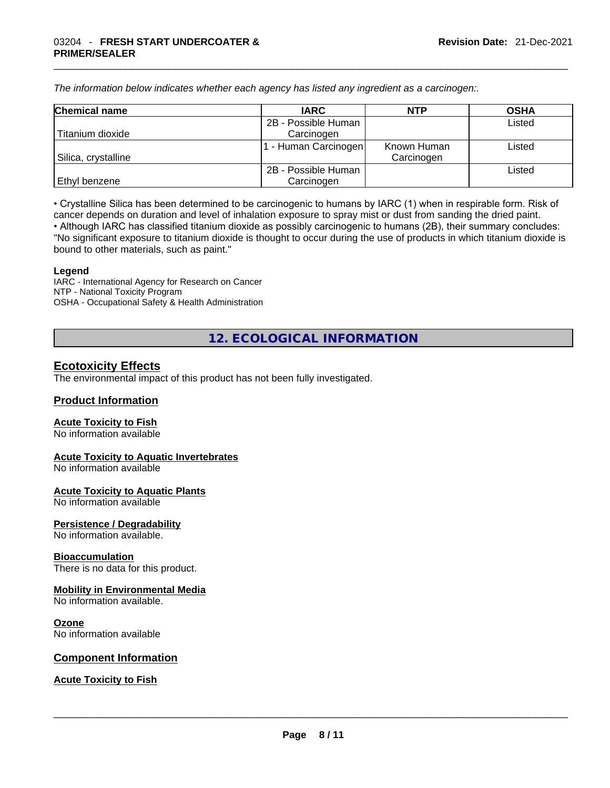*The information below indicates whether each agency has listed any ingredient as a carcinogen:.* 

| <b>Chemical name</b> | <b>IARC</b>          | <b>NTP</b>  | <b>OSHA</b> |
|----------------------|----------------------|-------------|-------------|
|                      | 2B - Possible Human  |             | Listed      |
| Titanium dioxide     | Carcinogen           |             |             |
|                      | 1 - Human Carcinogen | Known Human | Listed      |
| Silica, crystalline  |                      | Carcinogen  |             |
|                      | 2B - Possible Human  |             | Listed      |
| Ethyl benzene        | Carcinogen           |             |             |

• Crystalline Silica has been determined to be carcinogenic to humans by IARC (1) when in respirable form. Risk of cancer depends on duration and level of inhalation exposure to spray mist or dust from sanding the dried paint.• Although IARC has classified titanium dioxide as possibly carcinogenic to humans (2B), their summary concludes: "No significant exposure to titanium dioxide is thought to occur during the use of products in which titanium dioxide is bound to other materials, such as paint."

#### **Legend**

IARC - International Agency for Research on Cancer NTP - National Toxicity Program OSHA - Occupational Safety & Health Administration

**12. ECOLOGICAL INFORMATION** 

## **Ecotoxicity Effects**

The environmental impact of this product has not been fully investigated.

## **Product Information**

#### **Acute Toxicity to Fish**

No information available

#### **Acute Toxicity to Aquatic Invertebrates**

No information available

#### **Acute Toxicity to Aquatic Plants** No information available

#### **Persistence / Degradability** No information available.

## **Bioaccumulation**

There is no data for this product.

## **Mobility in Environmental Media**

No information available.

#### **Ozone**

No information available

#### **Component Information**

## **Acute Toxicity to Fish**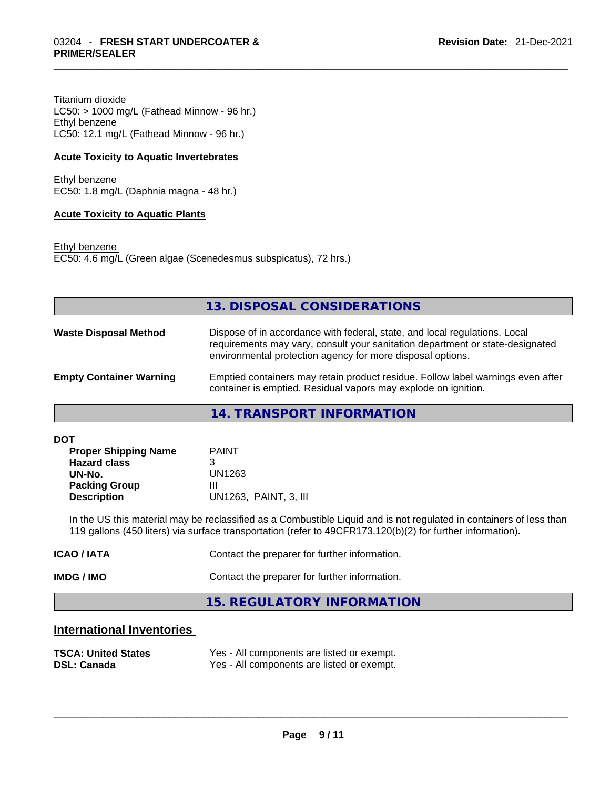Titanium dioxide  $LC50:$  > 1000 mg/L (Fathead Minnow - 96 hr.) Ethyl benzene LC50: 12.1 mg/L (Fathead Minnow - 96 hr.)

#### **Acute Toxicity to Aquatic Invertebrates**

Ethyl benzene EC50: 1.8 mg/L (Daphnia magna - 48 hr.)

#### **Acute Toxicity to Aquatic Plants**

Ethyl benzene EC50: 4.6 mg/L (Green algae (Scenedesmus subspicatus), 72 hrs.)

|                                | 13. DISPOSAL CONSIDERATIONS                                                                                                                                                                                               |
|--------------------------------|---------------------------------------------------------------------------------------------------------------------------------------------------------------------------------------------------------------------------|
| <b>Waste Disposal Method</b>   | Dispose of in accordance with federal, state, and local regulations. Local<br>requirements may vary, consult your sanitation department or state-designated<br>environmental protection agency for more disposal options. |
| <b>Empty Container Warning</b> | Emptied containers may retain product residue. Follow label warnings even after<br>container is emptied. Residual vapors may explode on ignition.                                                                         |

**14. TRANSPORT INFORMATION** 

**DOT** 

| <b>Proper Shipping Name</b><br><b>Hazard class</b> | <b>PAINT</b><br>З     |
|----------------------------------------------------|-----------------------|
| UN-No.                                             | UN1263                |
| <b>Packing Group</b>                               | Ш                     |
| <b>Description</b>                                 | UN1263. PAINT, 3. III |

In the US this material may be reclassified as a Combustible Liquid and is not regulated in containers of less than 119 gallons (450 liters) via surface transportation (refer to 49CFR173.120(b)(2) for further information).

| ICAO / IATA | Contact the preparer for further information. |
|-------------|-----------------------------------------------|
| IMDG / IMO  | Contact the preparer for further information. |
|             | 15. REGULATORY INFORMATION                    |

## **International Inventories**

| <b>TSCA: United States</b> | Yes - All components are listed or exempt. |
|----------------------------|--------------------------------------------|
| <b>DSL: Canada</b>         | Yes - All components are listed or exempt. |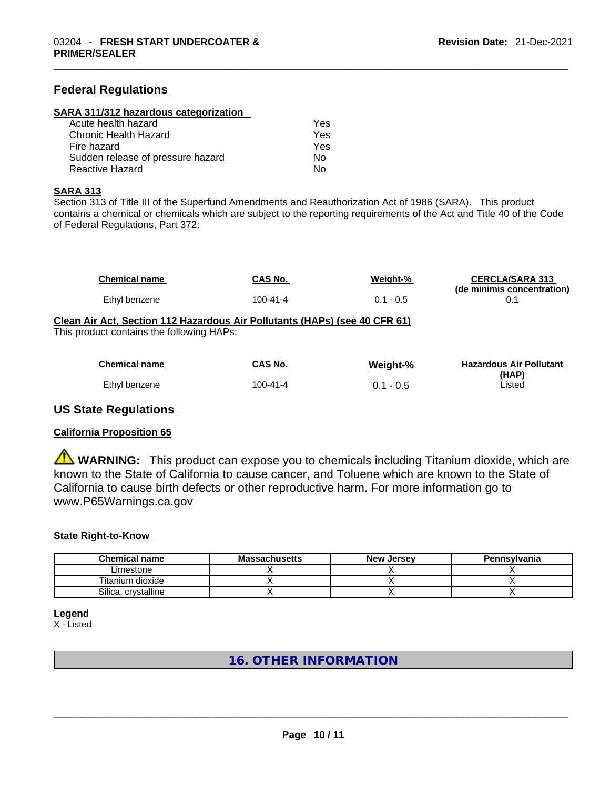## **Federal Regulations**

#### **SARA 311/312 hazardous categorization**

| Acute health hazard               | Yes |  |
|-----------------------------------|-----|--|
| Chronic Health Hazard             | Yes |  |
| Fire hazard                       | Yes |  |
| Sudden release of pressure hazard | No. |  |
| Reactive Hazard                   | Nο  |  |

#### **SARA 313**

Section 313 of Title III of the Superfund Amendments and Reauthorization Act of 1986 (SARA). This product contains a chemical or chemicals which are subject to the reporting requirements of the Act and Title 40 of the Code of Federal Regulations, Part 372:

| <b>Chemical name</b> | CAS No.  | <u>Weight-%</u> | <b>CERCLA/SARA 313</b><br>(de minimis concentration) |
|----------------------|----------|-----------------|------------------------------------------------------|
| Ethyl benzene        | 100-41-4 | $0.1 - 0.5$     |                                                      |

### **Clean Air Act,Section 112 Hazardous Air Pollutants (HAPs) (see 40 CFR 61)** This product contains the following HAPs:

| <b>Chemical name</b> | <b>CAS No.</b> | Weight-%    | <b>Hazardous Air Pollutant</b> |
|----------------------|----------------|-------------|--------------------------------|
|                      |                |             | (HAP)                          |
| Ethyl benzene        | 100-41-4       | $0.1 - 0.5$ | Listed                         |

## **US State Regulations**

## **California Proposition 65**

**WARNING:** This product can expose you to chemicals including Titanium dioxide, which are known to the State of California to cause cancer, and Toluene which are known to the State of California to cause birth defects or other reproductive harm. For more information go to www.P65Warnings.ca.gov

## **State Right-to-Know**

| <b>Chemical name</b> | <b>Massachusetts</b> | <b>New Jersey</b> | Pennsylvania |
|----------------------|----------------------|-------------------|--------------|
| Limestone            |                      |                   |              |
| Titanium dioxide     |                      |                   |              |
| Silica, crystalline  |                      |                   |              |

**Legend**

X - Listed

## **16. OTHER INFORMATION**